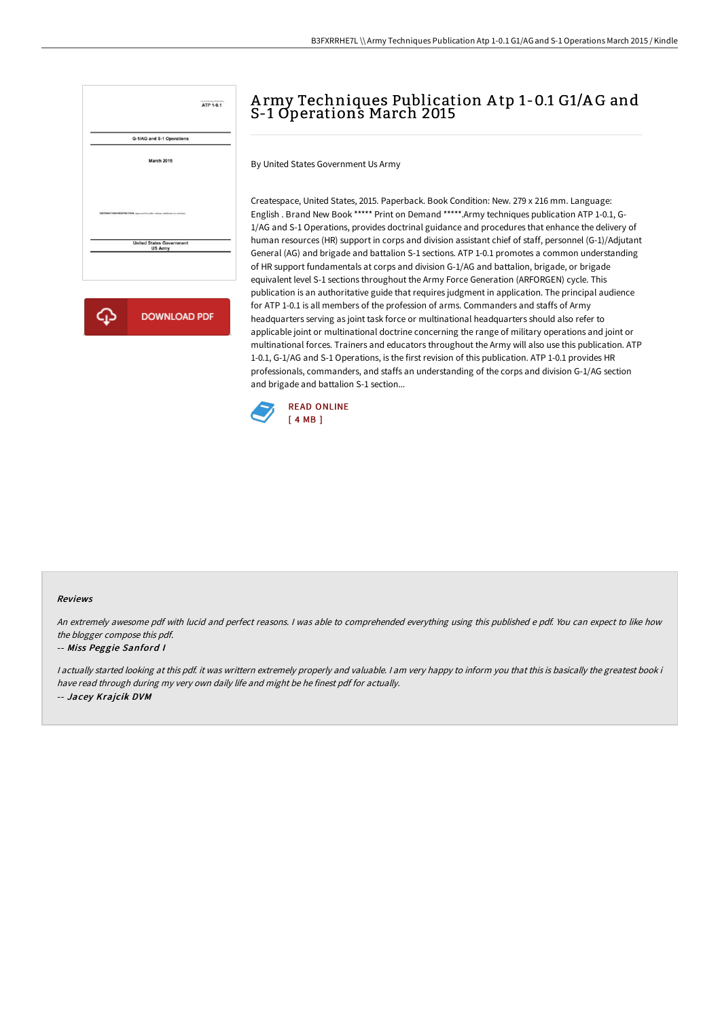

**DOWNLOAD PDF** ረን

# A rmy Techniques Publication A tp 1-0.1 G1/A G and S-1 Operations March 2015

By United States Government Us Army

Createspace, United States, 2015. Paperback. Book Condition: New. 279 x 216 mm. Language: English . Brand New Book \*\*\*\*\* Print on Demand \*\*\*\*\*.Army techniques publication ATP 1-0.1, G-1/AG and S-1 Operations, provides doctrinal guidance and procedures that enhance the delivery of human resources (HR) support in corps and division assistant chief of staff, personnel (G-1)/Adjutant General (AG) and brigade and battalion S-1 sections. ATP 1-0.1 promotes a common understanding of HR support fundamentals at corps and division G-1/AG and battalion, brigade, or brigade equivalent level S-1 sections throughout the Army Force Generation (ARFORGEN) cycle. This publication is an authoritative guide that requires judgment in application. The principal audience for ATP 1-0.1 is all members of the profession of arms. Commanders and staffs of Army headquarters serving as joint task force or multinational headquarters should also refer to applicable joint or multinational doctrine concerning the range of military operations and joint or multinational forces. Trainers and educators throughout the Army will also use this publication. ATP 1-0.1, G-1/AG and S-1 Operations, is the first revision of this publication. ATP 1-0.1 provides HR professionals, commanders, and staffs an understanding of the corps and division G-1/AG section and brigade and battalion S-1 section...



### Reviews

An extremely awesome pdf with lucid and perfect reasons. <sup>I</sup> was able to comprehended everything using this published <sup>e</sup> pdf. You can expect to like how the blogger compose this pdf.

#### -- Miss Peggie Sanford <sup>I</sup>

<sup>I</sup> actually started looking at this pdf. it was writtern extremely properly and valuable. <sup>I</sup> am very happy to inform you that this is basically the greatest book i have read through during my very own daily life and might be he finest pdf for actually. -- Jacey Krajcik DVM